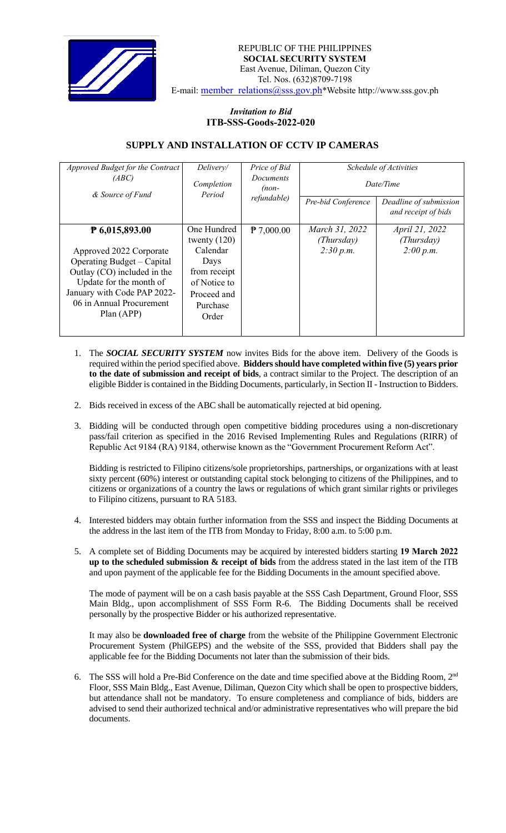

REPUBLIC OF THE PHILIPPINES  **SOCIAL SECURITY SYSTEM** East Avenue, Diliman, Quezon City Tel. Nos. (632)8709-7198 E-mail: [member\\_relations@sss.gov.ph](mailto:member_relations@sss.gov.ph)\*Website http://www.sss.gov.ph

## *Invitation to Bid*  **ITB-SSS-Goods-2022-020**

## **SUPPLY AND INSTALLATION OF CCTV IP CAMERAS**

| Approved Budget for the Contract<br>(ABC)<br>& Source of Fund                                                                                                                                              | Delivery/<br>Completion<br>Period                                                                                     | Price of Bid<br><b>Documents</b><br>$(non-$<br>refundable) | Pre-bid Conference                        | <i>Schedule of Activities</i><br>Date/Time<br>Deadline of submission<br>and receipt of bids |
|------------------------------------------------------------------------------------------------------------------------------------------------------------------------------------------------------------|-----------------------------------------------------------------------------------------------------------------------|------------------------------------------------------------|-------------------------------------------|---------------------------------------------------------------------------------------------|
| ₱ 6,015,893.00<br>Approved 2022 Corporate<br>Operating Budget – Capital<br>Outlay (CO) included in the<br>Update for the month of<br>January with Code PAP 2022-<br>06 in Annual Procurement<br>Plan (APP) | One Hundred<br>twenty $(120)$<br>Calendar<br>Days<br>from receipt<br>of Notice to<br>Proceed and<br>Purchase<br>Order | $\uparrow$ 7,000.00                                        | March 31, 2022<br>(Thursday)<br>2:30 p.m. | April 21, 2022<br>(Thursday)<br>2:00 p.m.                                                   |

- 1. The *SOCIAL SECURITY SYSTEM* now invites Bids for the above item. Delivery of the Goods is required within the period specified above. **Bidders should have completed within five (5) years prior to the date of submission and receipt of bids**, a contract similar to the Project. The description of an eligible Bidder is contained in the Bidding Documents, particularly, in Section II - Instruction to Bidders.
- 2. Bids received in excess of the ABC shall be automatically rejected at bid opening.
- 3. Bidding will be conducted through open competitive bidding procedures using a non-discretionary pass/fail criterion as specified in the 2016 Revised Implementing Rules and Regulations (RIRR) of Republic Act 9184 (RA) 9184, otherwise known as the "Government Procurement Reform Act".

Bidding is restricted to Filipino citizens/sole proprietorships, partnerships, or organizations with at least sixty percent (60%) interest or outstanding capital stock belonging to citizens of the Philippines, and to citizens or organizations of a country the laws or regulations of which grant similar rights or privileges to Filipino citizens, pursuant to RA 5183.

- 4. Interested bidders may obtain further information from the SSS and inspect the Bidding Documents at the address in the last item of the ITB from Monday to Friday, 8:00 a.m. to 5:00 p.m.
- 5. A complete set of Bidding Documents may be acquired by interested bidders starting **19 March 2022 up to the scheduled submission & receipt of bids** from the address stated in the last item of the ITB and upon payment of the applicable fee for the Bidding Documents in the amount specified above.

The mode of payment will be on a cash basis payable at the SSS Cash Department, Ground Floor, SSS Main Bldg., upon accomplishment of SSS Form R-6. The Bidding Documents shall be received personally by the prospective Bidder or his authorized representative.

It may also be **downloaded free of charge** from the website of the Philippine Government Electronic Procurement System (PhilGEPS) and the website of the SSS*,* provided that Bidders shall pay the applicable fee for the Bidding Documents not later than the submission of their bids.

6. The SSS will hold a Pre-Bid Conference on the date and time specified above at the Bidding Room, 2<sup>nd</sup> Floor, SSS Main Bldg., East Avenue, Diliman, Quezon City which shall be open to prospective bidders, but attendance shall not be mandatory. To ensure completeness and compliance of bids, bidders are advised to send their authorized technical and/or administrative representatives who will prepare the bid documents.